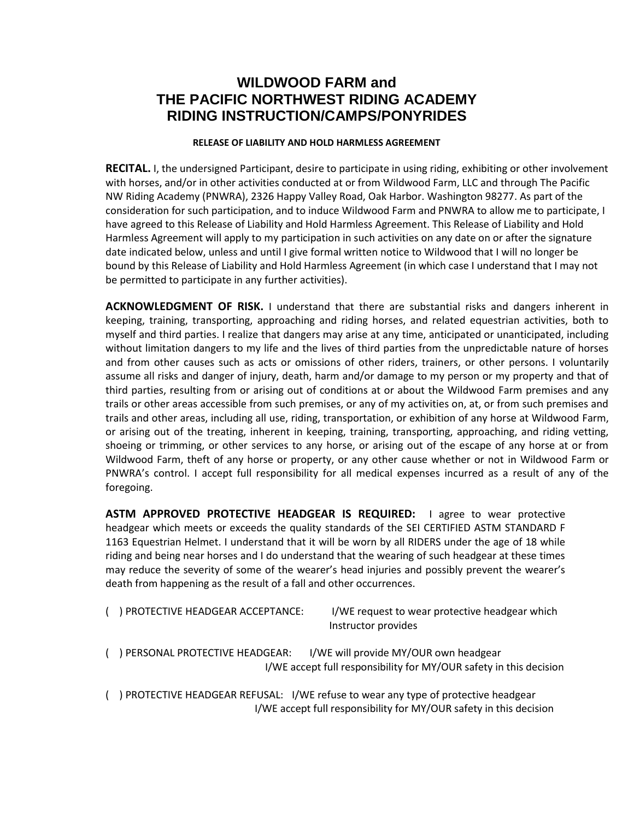## **WILDWOOD FARM and THE PACIFIC NORTHWEST RIDING ACADEMY RIDING INSTRUCTION/CAMPS/PONYRIDES**

## **RELEASE OF LIABILITY AND HOLD HARMLESS AGREEMENT**

 **RECITAL.** I, the undersigned Participant, desire to participate in using riding, exhibiting or other involvement with horses, and/or in other activities conducted at or from Wildwood Farm, LLC and through The Pacific NW Riding Academy (PNWRA), 2326 Happy Valley Road, Oak Harbor. Washington 98277. As part of the consideration for such participation, and to induce Wildwood Farm and PNWRA to allow me to participate, I have agreed to this Release of Liability and Hold Harmless Agreement. This Release of Liability and Hold Harmless Agreement will apply to my participation in such activities on any date on or after the signature date indicated below, unless and until I give formal written notice to Wildwood that I will no longer be bound by this Release of Liability and Hold Harmless Agreement (in which case I understand that I may not be permitted to participate in any further activities).

**ACKNOWLEDGMENT OF RISK.** I understand that there are substantial risks and dangers inherent in keeping, training, transporting, approaching and riding horses, and related equestrian activities, both to myself and third parties. I realize that dangers may arise at any time, anticipated or unanticipated, including without limitation dangers to my life and the lives of third parties from the unpredictable nature of horses and from other causes such as acts or omissions of other riders, trainers, or other persons. I voluntarily assume all risks and danger of injury, death, harm and/or damage to my person or my property and that of third parties, resulting from or arising out of conditions at or about the Wildwood Farm premises and any trails or other areas accessible from such premises, or any of my activities on, at, or from such premises and trails and other areas, including all use, riding, transportation, or exhibition of any horse at Wildwood Farm, or arising out of the treating, inherent in keeping, training, transporting, approaching, and riding vetting, shoeing or trimming, or other services to any horse, or arising out of the escape of any horse at or from Wildwood Farm, theft of any horse or property, or any other cause whether or not in Wildwood Farm or PNWRA's control. I accept full responsibility for all medical expenses incurred as a result of any of the foregoing.

**ASTM APPROVED PROTECTIVE HEADGEAR IS REQUIRED:** I agree to wear protective headgear which meets or exceeds the quality standards of the SEI CERTIFIED ASTM STANDARD F 1163 Equestrian Helmet. I understand that it will be worn by all RIDERS under the age of 18 while riding and being near horses and I do understand that the wearing of such headgear at these times may reduce the severity of some of the wearer's head injuries and possibly prevent the wearer's death from happening as the result of a fall and other occurrences.

| ) PROTECTIVE HEADGEAR ACCEPTANCE: | I/WE request to wear protective headgear which |
|-----------------------------------|------------------------------------------------|
|                                   | Instructor provides                            |

- ( ) PERSONAL PROTECTIVE HEADGEAR: I/WE will provide MY/OUR own headgear I/WE accept full responsibility for MY/OUR safety in this decision
- ( ) PROTECTIVE HEADGEAR REFUSAL: I/WE refuse to wear any type of protective headgear I/WE accept full responsibility for MY/OUR safety in this decision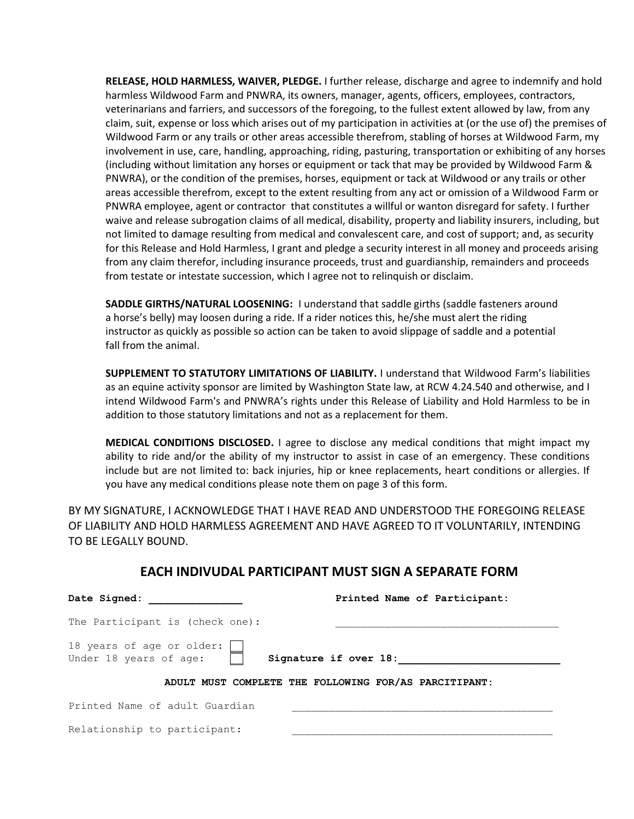**RELEASE, HOLD HARMLESS, WAIVER, PLEDGE.** I further release, discharge and agree to indemnify and hold harmless Wildwood Farm and PNWRA, its owners, manager, agents, officers, employees, contractors, veterinarians and farriers, and successors of the foregoing, to the fullest extent allowed by law, from any claim, suit, expense or loss which arises out of my participation in activities at (or the use of) the premises of Wildwood Farm or any trails or other areas accessible therefrom, stabling of horses at Wildwood Farm, my involvement in use, care, handling, approaching, riding, pasturing, transportation or exhibiting of any horses (including without limitation any horses or equipment or tack that may be provided by Wildwood Farm & PNWRA), or the condition of the premises, horses, equipment or tack at Wildwood or any trails or other areas accessible therefrom, except to the extent resulting from any act or omission of a Wildwood Farm or PNWRA employee, agent or contractor that constitutes a willful or wanton disregard for safety. I further waive and release subrogation claims of all medical, disability, property and liability insurers, including, but not limited to damage resulting from medical and convalescent care, and cost of support; and, as security for this Release and Hold Harmless, I grant and pledge a security interest in all money and proceeds arising from any claim therefor, including insurance proceeds, trust and guardianship, remainders and proceeds from testate or intestate succession, which I agree not to relinquish or disclaim.

**SADDLE GIRTHS/NATURAL LOOSENING:** I understand that saddle girths (saddle fasteners around a horse's belly) may loosen during a ride. If a rider notices this, he/she must alert the riding instructor as quickly as possible so action can be taken to avoid slippage of saddle and a potential fall from the animal.

**SUPPLEMENT TO STATUTORY LIMITATIONS OF LIABILITY.** I understand that Wildwood Farm's liabilities as an equine activity sponsor are limited by Washington State law, at RCW 4.24.540 and otherwise, and I intend Wildwood Farm's and PNWRA's rights under this Release of Liability and Hold Harmless to be in addition to those statutory limitations and not as a replacement for them.

**MEDICAL CONDITIONS DISCLOSED.** I agree to disclose any medical conditions that might impact my ability to ride and/or the ability of my instructor to assist in case of an emergency. These conditions include but are not limited to: back injuries, hip or knee replacements, heart conditions or allergies. If you have any medical conditions please note them on page 3 of this form.

BY MY SIGNATURE, I ACKNOWLEDGE THAT I HAVE READ AND UNDERSTOOD THE FOREGOING RELEASE OF LIABILITY AND HOLD HARMLESS AGREEMENT AND HAVE AGREED TO IT VOLUNTARILY, INTENDING TO BE LEGALLY BOUND.

| Date Signed:                                                                 | Printed Name of Participant:                          |  |  |  |
|------------------------------------------------------------------------------|-------------------------------------------------------|--|--|--|
| The Participant is (check one):                                              |                                                       |  |  |  |
| 18 years of age or older:<br>Under 18 years of age:<br>Signature if over 18: |                                                       |  |  |  |
|                                                                              | ADULT MUST COMPLETE THE FOLLOWING FOR/AS PARCITIPANT: |  |  |  |
| Printed Name of adult Guardian                                               |                                                       |  |  |  |
| Relationship to participant:                                                 |                                                       |  |  |  |

## **EACH INDIVUDAL PARTICIPANT MUST SIGN A SEPARATE FORM**